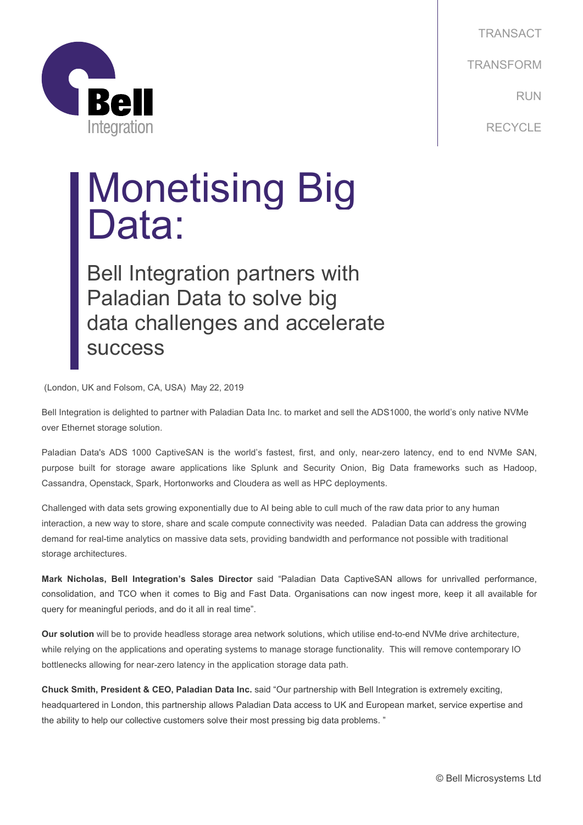



## Monetising Big<br>Data:

Bell Integration partners with Paladian Data to solve big data challenges and accelerate success

(London, UK and Folsom, CA, USA) May 22, 2019

Bell Integration is delighted to partner with Paladian Data Inc. to market and sell the ADS1000, the world's only native NVMe over Ethernet storage solution.

Paladian Data's ADS 1000 CaptiveSAN is the world's fastest, first, and only, near-zero latency, end to end NVMe SAN, purpose built for storage aware applications like Splunk and Security Onion, Big Data frameworks such as Hadoop, Cassandra, Openstack, Spark, Hortonworks and Cloudera as well as HPC deployments.

Challenged with data sets growing exponentially due to AI being able to cull much of the raw data prior to any human interaction, a new way to store, share and scale compute connectivity was needed. Paladian Data can address the growing demand for real-time analytics on massive data sets, providing bandwidth and performance not possible with traditional storage architectures.

**Mark Nicholas, Bell Integration's Sales Director** said "Paladian Data CaptiveSAN allows for unrivalled performance, consolidation, and TCO when it comes to Big and Fast Data. Organisations can now ingest more, keep it all available for query for meaningful periods, and do it all in real time".

**Our solution** will be to provide headless storage area network solutions, which utilise end-to-end NVMe drive architecture, while relying on the applications and operating systems to manage storage functionality. This will remove contemporary IO bottlenecks allowing for near-zero latency in the application storage data path.

**Chuck Smith, President & CEO, Paladian Data Inc.** said "Our partnership with Bell Integration is extremely exciting, headquartered in London, this partnership allows Paladian Data access to UK and European market, service expertise and the ability to help our collective customers solve their most pressing big data problems. "